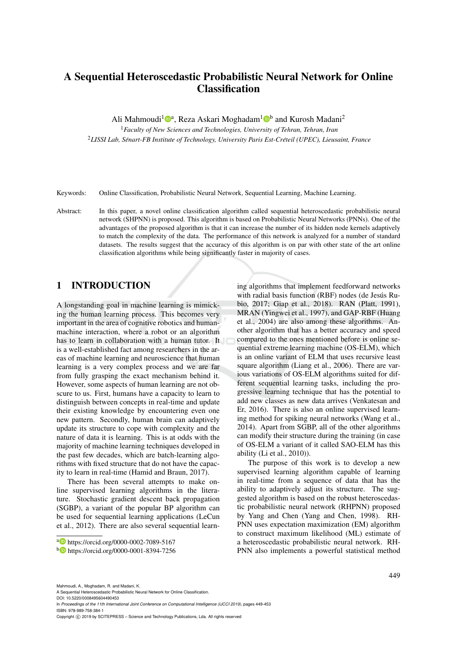# A Sequential Heteroscedastic Probabilistic Neural Network for Online **Classification**

Ali Mahmoudi<sup>1</sup><sup>®</sup>, Reza Askari Moghadam<sup>1</sup><sup>®</sup> and Kurosh Madani<sup>2</sup>

<sup>1</sup>*Faculty of New Sciences and Technologies, University of Tehran, Tehran, Iran* <sup>2</sup>*LISSI Lab, Senart-FB Institute of Technology, University Paris Est-Cr ´ eteil (UPEC), Lieusaint, France ´*

Keywords: Online Classification, Probabilistic Neural Network, Sequential Learning, Machine Learning.

Abstract: In this paper, a novel online classification algorithm called sequential heteroscedastic probabilistic neural network (SHPNN) is proposed. This algorithm is based on Probabilistic Neural Networks (PNNs). One of the advantages of the proposed algorithm is that it can increase the number of its hidden node kernels adaptively to match the complexity of the data. The performance of this network is analyzed for a number of standard datasets. The results suggest that the accuracy of this algorithm is on par with other state of the art online classification algorithms while being significantly faster in majority of cases.

### 1 INTRODUCTION

A longstanding goal in machine learning is mimicking the human learning process. This becomes very important in the area of cognitive robotics and humanmachine interaction, where a robot or an algorithm has to learn in collaboration with a human tutor. It is a well-established fact among researchers in the areas of machine learning and neuroscience that human learning is a very complex process and we are far from fully grasping the exact mechanism behind it. However, some aspects of human learning are not obscure to us. First, humans have a capacity to learn to distinguish between concepts in real-time and update their existing knowledge by encountering even one new pattern. Secondly, human brain can adaptively update its structure to cope with complexity and the nature of data it is learning. This is at odds with the majority of machine learning techniques developed in the past few decades, which are batch-learning algorithms with fixed structure that do not have the capacity to learn in real-time (Hamid and Braun, 2017).

There has been several attempts to make online supervised learning algorithms in the literature. Stochastic gradient descent back propagation (SGBP), a variant of the popular BP algorithm can be used for sequential learning applications (LeCun et al., 2012). There are also several sequential learn-

ing algorithms that implement feedforward networks with radial basis function (RBF) nodes (de Jesús Rubio, 2017; Giap et al., 2018). RAN (Platt, 1991), MRAN (Yingwei et al., 1997), and GAP-RBF (Huang et al., 2004) are also among these algorithms. Another algorithm that has a better accuracy and speed compared to the ones mentioned before is online sequential extreme learning machine (OS-ELM), which is an online variant of ELM that uses recursive least square algorithm (Liang et al., 2006). There are various variations of OS-ELM algorithms suited for different sequential learning tasks, including the progressive learning technique that has the potential to add new classes as new data arrives (Venkatesan and Er, 2016). There is also an online supervised learning method for spiking neural networks (Wang et al., 2014). Apart from SGBP, all of the other algorithms can modify their structure during the training (in case of OS-ELM a variant of it called SAO-ELM has this ability (Li et al., 2010)).

The purpose of this work is to develop a new supervised learning algorithm capable of learning in real-time from a sequence of data that has the ability to adaptively adjust its structure. The suggested algorithm is based on the robust heteroscedastic probabilistic neural network (RHPNN) proposed by Yang and Chen (Yang and Chen, 1998). RH-PNN uses expectation maximization (EM) algorithm to construct maximum likelihood (ML) estimate of a heteroscedastic probabilistic neural network. RH-PNN also implements a powerful statistical method

DOI: 10.5220/0008495604490453 In *Proceedings of the 11th International Joint Conference on Computational Intelligence (IJCCI 2019)*, pages 449-453 ISBN: 978-989-758-384-1

<sup>a</sup> https://orcid.org/0000-0002-7089-5167

<sup>b</sup> https://orcid.org/0000-0001-8394-7256

Mahmoudi, A., Moghadam, R. and Madani, K.

A Sequential Heteroscedastic Probabilistic Neural Network for Online Classification.

Copyright © 2019 by SCITEPRESS - Science and Technology Publications, Lda. All rights reserved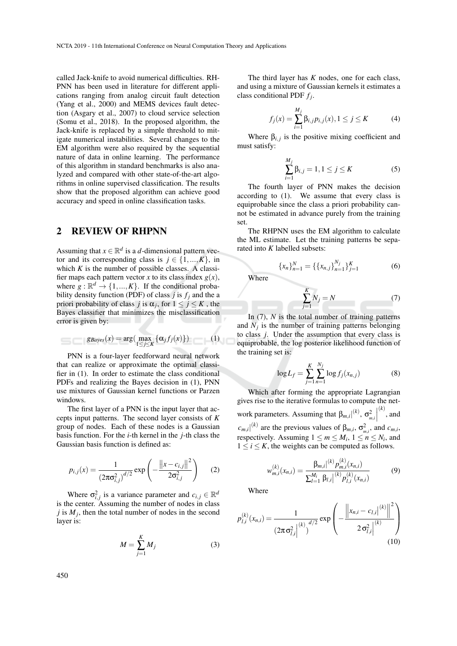called Jack-knife to avoid numerical difficulties. RH-PNN has been used in literature for different applications ranging from analog circuit fault detection (Yang et al., 2000) and MEMS devices fault detection (Asgary et al., 2007) to cloud service selection (Somu et al., 2018). In the proposed algorithm, the Jack-knife is replaced by a simple threshold to mitigate numerical instabilities. Several changes to the EM algorithm were also required by the sequential nature of data in online learning. The performance of this algorithm in standard benchmarks is also analyzed and compared with other state-of-the-art algorithms in online supervised classification. The results show that the proposed algorithm can achieve good accuracy and speed in online classification tasks.

### 2 REVIEW OF RHPNN

Assuming that  $x \in \mathbb{R}^d$  is a *d*-dimensional pattern vector and its corresponding class is  $j \in \{1, ..., K\}$ , in which  $K$  is the number of possible classes. A classifier maps each pattern vector *x* to its class index  $g(x)$ , where  $g : \mathbb{R}^d \to \{1, ..., K\}$ . If the conditional probability density function (PDF) of class  $j$  is  $f_j$  and the a priori probability of class *j* is  $\alpha_j$ , for  $1 \le j \le K$ , the Bayes classifier that minimizes the misclassification error is given by:

$$
\mathcal{L} = \text{diag}(x) = \arg(\max_{1 \leq j \leq K} \{ \alpha_j f_j(x) \}) \tag{1}
$$

PNN is a four-layer feedforward neural network that can realize or approximate the optimal classifier in (1). In order to estimate the class conditional PDFs and realizing the Bayes decision in (1), PNN use mixtures of Gaussian kernel functions or Parzen windows.

The first layer of a PNN is the input layer that accepts input patterns. The second layer consists of *K* group of nodes. Each of these nodes is a Gaussian basis function. For the *i*-th kernel in the *j*-th class the Gaussian basis function is defined as:

$$
p_{i,j}(x) = \frac{1}{(2\pi\sigma_{i,j}^2)^{d/2}} \exp\left(-\frac{\left\|x - c_{i,j}\right\|^2}{2\sigma_{i,j}^2}\right) \tag{2}
$$

Where  $\sigma_{i,j}^2$  is a variance parameter and  $c_{i,j} \in \mathbb{R}^d$ is the center. Assuming the number of nodes in class *j* is  $M_j$ , then the total number of nodes in the second layer is:

$$
M = \sum_{j=1}^{K} M_j \tag{3}
$$

The third layer has *K* nodes, one for each class, and using a mixture of Gaussian kernels it estimates a class conditional PDF *f<sup>j</sup>* .

$$
f_j(x) = \sum_{i=1}^{M_j} \beta_{i,j} p_{i,j}(x), 1 \le j \le K
$$
 (4)

Where  $\beta_{i,j}$  is the positive mixing coefficient and must satisfy:

$$
\sum_{i=1}^{M_j} \beta_{i,j} = 1, 1 \le j \le K
$$
 (5)

The fourth layer of PNN makes the decision according to (1). We assume that every class is equiprobable since the class a priori probability cannot be estimated in advance purely from the training set.

The RHPNN uses the EM algorithm to calculate the ML estimate. Let the training patterns be separated into *K* labelled subsets:

$$
\{x_n\}_{n=1}^N = \{\{x_{n,j}\}_{n=1}^{N_j}\}_{j=1}^K
$$
 (6)

Where

s

$$
\sum_{j=1}^{K} N_j = N \tag{7}
$$

In (7), *N* is the total number of training patterns and  $N_j$  is the number of training patterns belonging to class *j*. Under the assumption that every class is equiprobable, the log posterior likelihood function of the training set is:

$$
\log L_f = \sum_{j=1}^{K} \sum_{n=1}^{N_j} \log f_j(x_{n,j})
$$
 (8)

Which after forming the appropriate Lagrangian gives rise to the iterative formulas to compute the network parameters. Assuming that  $β<sub>m,i</sub>$ <sup>[(*k*)</sup>, σ<sup>2</sup><sub>*m<sub>,<i>i*</sub></sub>]</sub>  $(k)$ , and  $c_{m,i}$ <sup>[(k)</sup> are the previous values of  $\beta_{m,i}$ ,  $\sigma_{m,i}^2$ , and  $c_{m,i}$ , respectively. Assuming  $1 \le m \le M_i$ ,  $1 \le n \le N_i$ , and  $1 \leq i \leq K$ , the weights can be computed as follows.

$$
w_{m,i}^{(k)}(x_{n,i}) = \frac{\beta_{m,i}|^{(k)} p_{m,i}^{(k)}(x_{n,i})}{\sum_{l=1}^{M_i} \beta_{l,i}|^{(k)} p_{l,i}^{(k)}(x_{n,i})}
$$
(9)

Where

$$
p_{l,i}^{(k)}(x_{n,i}) = \frac{1}{\left(2\pi\sigma_{l,i}^2\right)^{(k)}\sigma_{l,i}^{d/2}} \exp\left(-\frac{\left\|x_{n,i} - c_{l,i}\right|^{(k)}\right\|^2}{2\sigma_{l,i}^2}\right)
$$
(10)

450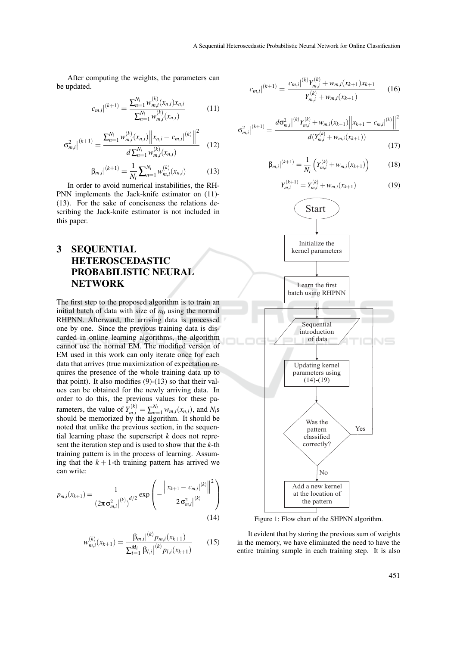After computing the weights, the parameters can be updated.

$$
c_{m,i}|^{(k+1)} = \frac{\sum_{n=1}^{N_i} w_{m,i}^{(k)}(x_{n,i}) x_{n,i}}{\sum_{n=1}^{N_i} w_{m,i}^{(k)}(x_{n,i})}
$$
(11)

$$
\sigma_{m,i}^2 \Big|^{(k+1)} = \frac{\sum_{n=1}^{N_i} w_{m,i}^{(k)}(x_{n,i}) \Big\| x_{n,i} - c_{m,i} \Big|^{(k)} \Big\|^2}{d \sum_{n=1}^{N_i} w_{m,i}^{(k)}(x_{n,i})}
$$
(12)

$$
\beta_{m,i}|^{(k+1)} = \frac{1}{N_i} \sum_{n=1}^{N_i} w_{m,i}^{(k)}(x_{n,i})
$$
(13)

In order to avoid numerical instabilities, the RH-PNN implements the Jack-knife estimator on (11)- (13). For the sake of conciseness the relations describing the Jack-knife estimator is not included in this paper.

# 3 SEQUENTIAL HETEROSCEDASTIC PROBABILISTIC NEURAL **NETWORK**

The first step to the proposed algorithm is to train an initial batch of data with size of  $n_0$  using the normal RHPNN. Afterward, the arriving data is processed one by one. Since the previous training data is discarded in online learning algorithms, the algorithm cannot use the normal EM. The modified version of EM used in this work can only iterate once for each data that arrives (true maximization of expectation requires the presence of the whole training data up to that point). It also modifies (9)-(13) so that their values can be obtained for the newly arriving data. In order to do this, the previous values for these parameters, the value of  $Y_{m,i}^{(k)} = \sum_{n=1}^{N_i} w_{m,i}(x_{n,i})$ , and  $N_i$ s should be memorized by the algorithm. It should be noted that unlike the previous section, in the sequential learning phase the superscript *k* does not represent the iteration step and is used to show that the *k*-th training pattern is in the process of learning. Assuming that the  $k + 1$ -th training pattern has arrived we can write:

$$
p_{m,i}(x_{k+1}) = \frac{1}{\left(2\pi\sigma_{m,i}^2\right)^{(k)}\right)^{d/2}} \exp\left(-\frac{\left\|x_{k+1} - c_{m,i}\right|^{(k)}\right\|^2}{2\sigma_{m,i}^2\left|^{(k)}\right|}\right)
$$
(14)

$$
w_{m,i}^{(k)}(x_{k+1}) = \frac{\beta_{m,i}|^{(k)} p_{m,i}(x_{k+1})}{\sum_{l=1}^{M_i} \beta_{l,i}|^{(k)} p_{l,i}(x_{k+1})}
$$
(15)

$$
c_{m,i}|^{(k+1)} = \frac{c_{m,i}|^{(k)}Y_{m,i}^{(k)} + w_{m,i}(x_{k+1})x_{k+1}}{Y_{m,i}^{(k)} + w_{m,i}(x_{k+1})}
$$
 (16)

$$
\sigma_{m,i}^{2} \Big|^{(k+1)} = \frac{d\sigma_{m,i}^{2} \Big|^{(k)} Y_{m,i}^{(k)} + w_{m,i}(x_{k+1}) \Big| \Big| x_{k+1} - c_{m,i} \Big|^{(k)} \Big|^{2}}{d(Y_{m,i}^{(k)} + w_{m,i}(x_{k+1}))}
$$
(17)

$$
\beta_{m,i}|^{(k+1)} = \frac{1}{N_i} \left( Y_{m,i}^{(k)} + w_{m,i}(x_{k+1}) \right) \tag{18}
$$

$$
Y_{m,i}^{(k+1)} = Y_{m,i}^{(k)} + w_{m,i}(x_{k+1})
$$
\n(19)



Figure 1: Flow chart of the SHPNN algorithm.

It evident that by storing the previous sum of weights in the memory, we have eliminated the need to have the entire training sample in each training step. It is also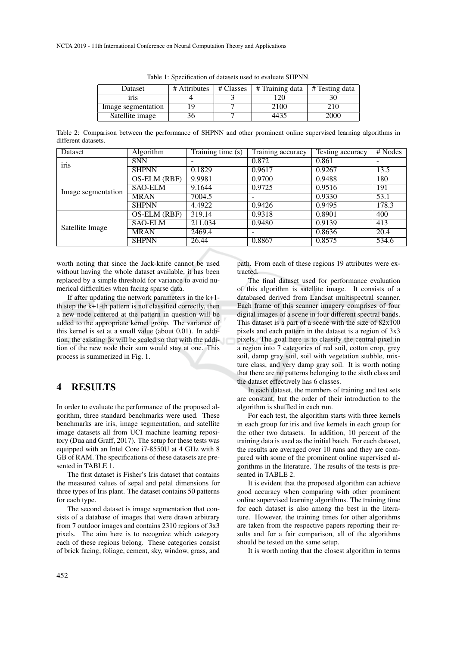| Dataset            | # Attributes | # Classes | # Training data | # Testing data |
|--------------------|--------------|-----------|-----------------|----------------|
| 1ľ1S               |              |           |                 |                |
| Image segmentation |              |           | 2100            |                |
| Satellite image    |              |           |                 | $($ )( )(      |

Table 1: Specification of datasets used to evaluate SHPNN.

Table 2: Comparison between the performance of SHPNN and other prominent online supervised learning algorithms in different datasets.

| Dataset            | Algorithm      | Training time (s) | Training accuracy | Testing accuracy | # Nodes |
|--------------------|----------------|-------------------|-------------------|------------------|---------|
| iris               | <b>SNN</b>     |                   | 0.872             | 0.861            |         |
|                    | <b>SHPNN</b>   | 0.1829            | 0.9617            | 0.9267           | 13.5    |
| Image segmentation | OS-ELM (RBF)   | 9.9981            | 0.9700            | 0.9488           | 180     |
|                    | <b>SAO-ELM</b> | 9.1644            | 0.9725            | 0.9516           | 191     |
|                    | <b>MRAN</b>    | 7004.5            | -                 | 0.9330           | 53.1    |
|                    | <b>SHPNN</b>   | 4.4922            | 0.9426            | 0.9495           | 178.3   |
| Satellite Image    | OS-ELM (RBF)   | 319.14            | 0.9318            | 0.8901           | 400     |
|                    | <b>SAO-ELM</b> | 211.034           | 0.9480            | 0.9139           | 413     |
|                    | MRAN           | 2469.4            | -                 | 0.8636           | 20.4    |
|                    | <b>SHPNN</b>   | 26.44             | 0.8867            | 0.8575           | 534.6   |

worth noting that since the Jack-knife cannot be used without having the whole dataset available, it has been replaced by a simple threshold for variance to avoid numerical difficulties when facing sparse data.

If after updating the network parameters in the k+1 th step the k+1-th pattern is not classified correctly, then a new node centered at the pattern in question will be added to the appropriate kernel group. The variance of this kernel is set at a small value (about 0.01). In addition, the existing βs will be scaled so that with the addition of the new node their sum would stay at one. This process is summerized in Fig. 1.

#### 4 RESULTS

In order to evaluate the performance of the proposed algorithm, three standard benchmarks were used. These benchmarks are iris, image segmentation, and satellite image datasets all from UCI machine learning repository (Dua and Graff, 2017). The setup for these tests was equipped with an Intel Core i7-8550U at 4 GHz with 8 GB of RAM. The specifications of these datasets are presented in TABLE 1.

The first dataset is Fisher's Iris dataset that contains the measured values of sepal and petal dimensions for three types of Iris plant. The dataset contains 50 patterns for each type.

The second dataset is image segmentation that consists of a database of images that were drawn arbitrary from 7 outdoor images and contains 2310 regions of 3x3 pixels. The aim here is to recognize which category each of these regions belong. These categories consist of brick facing, foliage, cement, sky, window, grass, and path. From each of these regions 19 attributes were extracted.

The final dataset used for performance evaluation of this algorithm is satellite image. It consists of a databased derived from Landsat multispectral scanner. Each frame of this scanner imagery comprises of four digital images of a scene in four different spectral bands. This dataset is a part of a scene with the size of 82x100 pixels and each pattern in the dataset is a region of 3x3 pixels. The goal here is to classify the central pixel in a region into 7 categories of red soil, cotton crop, grey soil, damp gray soil, soil with vegetation stubble, mixture class, and very damp gray soil. It is worth noting that there are no patterns belonging to the sixth class and the dataset effectively has 6 classes.

In each dataset, the members of training and test sets are constant, but the order of their introduction to the algorithm is shuffled in each run.

For each test, the algorithm starts with three kernels in each group for iris and five kernels in each group for the other two datasets. In addition, 10 percent of the training data is used as the initial batch. For each dataset, the results are averaged over 10 runs and they are compared with some of the prominent online supervised algorithms in the literature. The results of the tests is presented in TABLE 2.

It is evident that the proposed algorithm can achieve good accuracy when comparing with other prominent online supervised learning algorithms. The training time for each dataset is also among the best in the literature. However, the training times for other algorithms are taken from the respective papers reporting their results and for a fair comparison, all of the algorithms should be tested on the same setup.

It is worth noting that the closest algorithm in terms